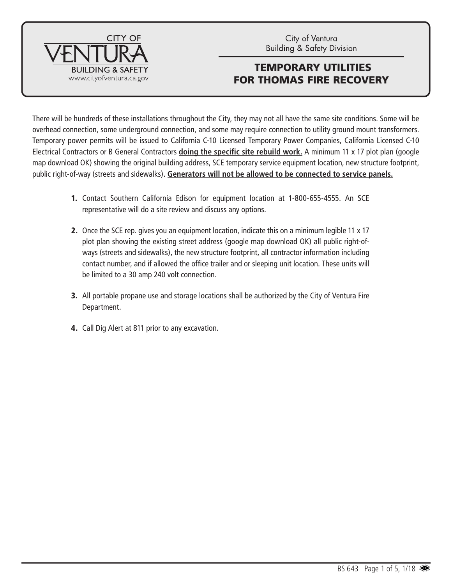

There will be hundreds of these installations throughout the City, they may not all have the same site conditions. Some will be overhead connection, some underground connection, and some may require connection to utility ground mount transformers. Temporary power permits will be issued to California C-10 Licensed Temporary Power Companies, California Licensed C-10 Electrical Contractors or B General Contractors **doing the specific site rebuild work.** A minimum 11 x 17 plot plan (google map download OK) showing the original building address, SCE temporary service equipment location, new structure footprint, public right-of-way (streets and sidewalks). **Generators will not be allowed to be connected to service panels.**

- 1. Contact Southern California Edison for equipment location at 1-800-655-4555. An SCE representative will do a site review and discuss any options.
- 2. Once the SCE rep. gives you an equipment location, indicate this on a minimum legible 11 x 17 plot plan showing the existing street address (google map download OK) all public right-ofways (streets and sidewalks), the new structure footprint, all contractor information including contact number, and if allowed the office trailer and or sleeping unit location. These units will be limited to a 30 amp 240 volt connection.
- 3. All portable propane use and storage locations shall be authorized by the City of Ventura Fire Department.
- 4. Call Dig Alert at 811 prior to any excavation.

**CITY OF** 

SΔ

**II DING &** 

www.cityofventura.ca.gov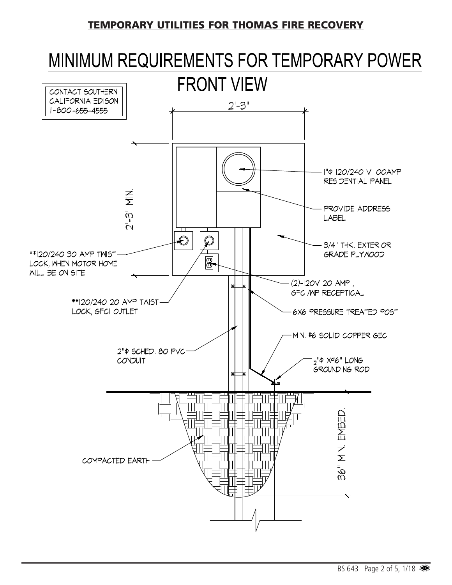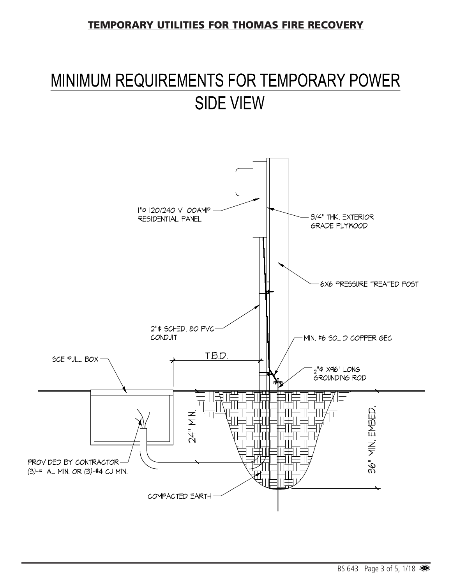## MINIMUM REQUIREMENTS FOR TEMPORARY POWER **SIDE VIEW**

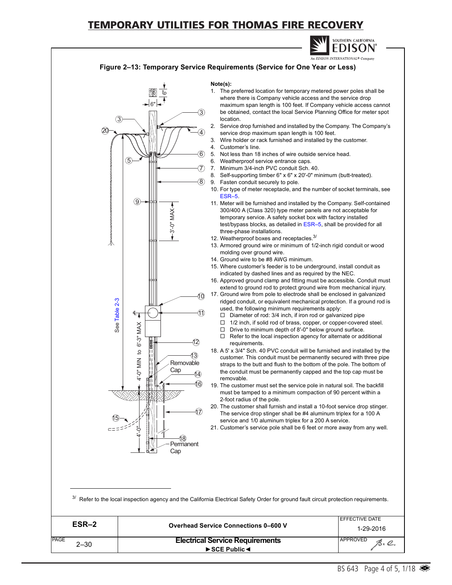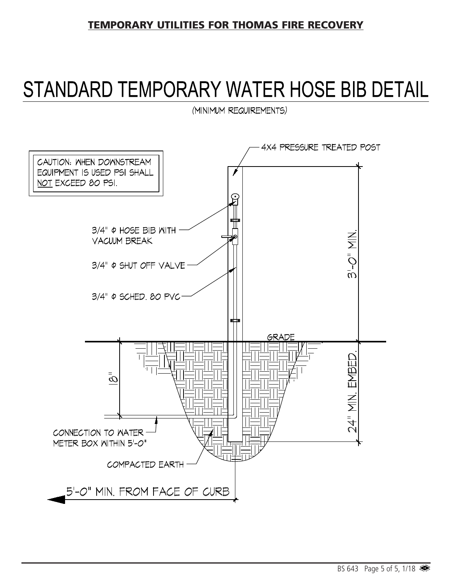# STANDARD TEMPORARY WATER HOSE BIB DETAIL

(MINIMUM REQUIREMENTS)